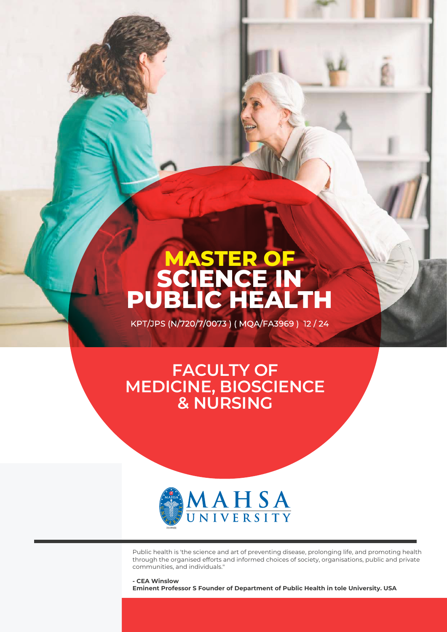# **MASTER OF SCIENCE IN PUBLIC HEALTH**

KPT/JPS (N/720/7/0073) (MQA/FA3969) 12/24

## **FACULTY OF MEDICINE, BIOSCIENCE & NURSING**



Public health is 'the science and art of preventing disease, prolonging life, and promoting health through the organised efforts and informed choices of society, organisations, public and private communities, and individuals."

**- CEA Winslow Eminent Professor S Founder of Department of Public Health in tole University. USA**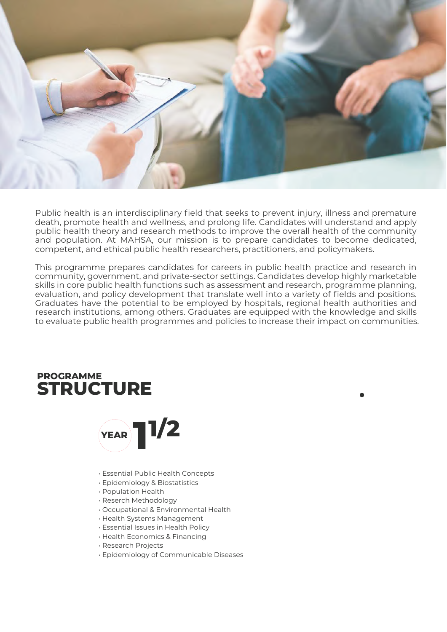

Public health is an interdisciplinary field that seeks to prevent injury, illness and premature death, promote health and wellness, and prolong life. Candidates will understand and apply public health theory and research methods to improve the overall health of the community and population. At MAHSA, our mission is to prepare candidates to become dedicated, competent, and ethical public health researchers, practitioners, and policymakers.

This programme prepares candidates for careers in public health practice and research in community, government, and private-sector settings. Candidates develop highly marketable skills in core public health functions such as assessment and research, programme planning, evaluation, and policy development that translate well into a variety of fields and positions. Graduates have the potential to be employed by hospitals, regional health authorities and research institutions, among others. Graduates are equipped with the knowledge and skills to evaluate public health programmes and policies to increase their impact on communities.

## **STRUCTURE PROGRAMME**



- Essential Public Health Concepts
- Epidemiology & Biostatistics
- Population Health
- Reserch Methodology
- Occupational & Environmental Health
- Health Systems Management
- Essential Issues in Health Policy
- Health Economics & Financing
- Research Projects
- Epidemiology of Communicable Diseases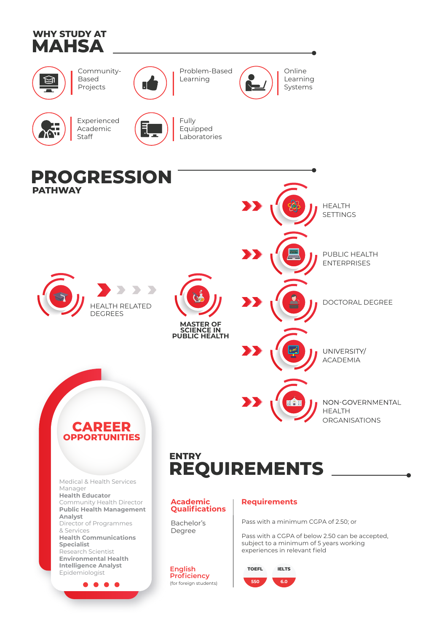



Community-Based Projects



Problem-Based Learning



Online Learning **Systems** 



Experienced Academic Staff



Fully Equipped Laboratories

## **PROGRESSION PATHWAY**





**SCIENCE IN PUBLIC HEALTH** UNIVERSITY/

ACADEMIA

PUBLIC HEALTH ENTERPRISES

HEALTH **SETTINGS** 

DOCTORAL DEGREE

NON-GOVERNMENTAL HEALTH ORGANISATIONS



Medical & Health Services Manager **Health Educator** Community Health Director **Public Health Management Analyst** Director of Programmes & Services **Health Communications Specialist** Research Scientist **Environmental Health Intelligence Analyst English Explorational Explorational English TOEFL**<br> **TOEFL** Epidemiologist **TOEFL** 

. . . .

## **REQUIREMENTS ENTRY**

#### **Academic Qualifications**

Bachelor's Degree

**English Proficiency** (for foreign students)

### **Requirements**

Pass with a minimum CGPA of 2.50; or

RAF

Pass with a CGPA of below 2.50 can be accepted, subject to a minimum of 5 years working experiences in relevant field

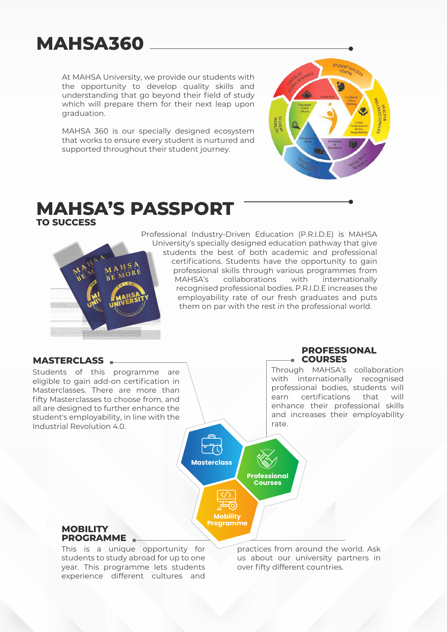# **MAHSA360**

At MAHSA University, we provide our students with the opportunity to develop quality skills and understanding that go beyond their field of study which will prepare them for their next leap upon graduation.

MAHSA 360 is our specially designed ecosystem that works to ensure every student is nurtured and supported throughout their student journey.



## **MAHSA'S PASSPORT TO SUCCESS**



Professional Industry-Driven Education (P.R.I.D.E) is MAHSA University's specially designed education pathway that give students the best of both academic and professional certifications. Students have the opportunity to gain professional skills through various programmes from MAHSA's collaborations with internationally recognised professional bodies. P.R.I.D.E increases the employability rate of our fresh graduates and puts them on par with the rest in the professional world.

> **Professional Courses**

**Masterclass**

**Mobility Programme**

### **MASTERCLASS**

Students of this programme are eligible to gain add-on certification in Masterclasses. There are more than fifty Masterclasses to choose from, and all are designed to further enhance the student's employability, in line with the Industrial Revolution 4.0.

#### **PROFESSIONAL COURSES**

Through MAHSA's collaboration with internationally recognised professional bodies, students will earn certifications that will enhance their professional skills and increases their employability rate.



This is a unique opportunity for students to study abroad for up to one year. This programme lets students experience different cultures and

practices from around the world. Ask us about our university partners in over fifty different countries.